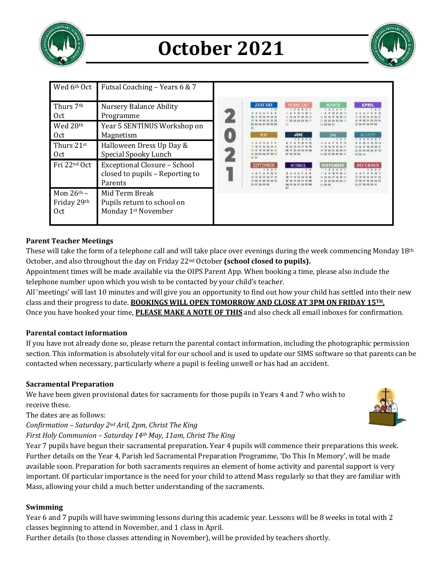

# **October 2021**



| Wed 6th Oct                         | Futsal Coaching - Years 6 & 7                                                     |                                                                                                                                                               |                                                                                                                                            |                                                                                                                                                                                 |                                                                                                                                                         |
|-------------------------------------|-----------------------------------------------------------------------------------|---------------------------------------------------------------------------------------------------------------------------------------------------------------|--------------------------------------------------------------------------------------------------------------------------------------------|---------------------------------------------------------------------------------------------------------------------------------------------------------------------------------|---------------------------------------------------------------------------------------------------------------------------------------------------------|
| Thurs 7th<br>0ct                    | <b>Nursery Balance Ability</b><br>Programme                                       | <b>JANUARY</b>                                                                                                                                                | <b>FELICIA AND</b><br>1, 2, 3, 4, 5<br>11:32 23 24 25 26 11                                                                                | <b>MARCH</b><br>1, 3, 4, 5, 6<br>10 11 12 11<br>12 18<br>21 23 23 24 25 26 27                                                                                                   | <b>APRIL</b><br><b>F 2 3</b><br>4 9 10                                                                                                                  |
| Wed 20th<br>0ct.                    | Year 5 SENTINUS Workshop on<br>Magnetism                                          | 34 35 36 37 38 39 50<br>MAY                                                                                                                                   | <b>JUNE</b><br>1.3.3.4.4                                                                                                                   | 11.29.00.01<br>July<br>$T$ $\pm$                                                                                                                                                | 21 24 27 38 39 30<br><b>ALIFAUST</b>                                                                                                                    |
| Thurs 21st<br>0ct                   | Halloween Dress Up Day &<br>Special Spooky Lunch                                  | 4.7<br>$\sim$<br>$\mathcal{N}$<br>30 34 35 36 37 38 39<br>30.31<br><b>SEPTEMBER</b><br>$7 - 3 - 3 - 4$<br>$-3.15.11$<br>W 30.21 23 23 24 25<br>36 37 38 36 30 | <b>F-10 11 11</b><br>38.79<br>30 21 22 23 34 35 36<br>37 18 29 30<br>OCTORES<br>12 14 15 5<br>17 18 19 20 31 32 33<br>34 34 36 37 38 39 30 | $1 + 7 + 9 + 10$<br>14 13 14 17<br>18 19 20 31 32 33 34<br>DE 24 27 28 29 30 31<br><b>NOVEMBER</b><br>7.7.4.5<br>10 11 12 13<br>12 28 19 10<br>21 23 23 24 35 36 27<br>11.29.30 | 12, 13,<br>$\mathbf{H}$<br>15.16.17.18.19.20.21<br>20 25 34 15 34 27 24<br>19 00.34<br><b>INFORMATION</b><br>7.7.<br>25 30 30 34 23<br>M 37 38 39 30 31 |
| Fri 22nd Oct                        | <b>Exceptional Closure - School</b><br>closed to pupils - Reporting to<br>Parents |                                                                                                                                                               |                                                                                                                                            |                                                                                                                                                                                 |                                                                                                                                                         |
| Mon $26th$ –<br>Friday 29th<br>0ct. | Mid Term Break<br>Pupils return to school on<br>Monday 1 <sup>st</sup> November   |                                                                                                                                                               | 31                                                                                                                                         |                                                                                                                                                                                 |                                                                                                                                                         |

# **Parent Teacher Meetings**

These will take the form of a telephone call and will take place over evenings during the week commencing Monday 18th October, and also throughout the day on Friday 22nd October **(school closed to pupils).**

Appointment times will be made available via the OIPS Parent App. When booking a time, please also include the telephone number upon which you wish to be contacted by your child's teacher.

All 'meetings' will last 10 minutes and will give you an opportunity to find out how your child has settled into their new class and their progress to date. **BOOKINGS WILL OPEN TOMORROW AND CLOSE AT 3PM ON FRIDAY 15TH.** Once you have booked your time, **PLEASE MAKE A NOTE OF THIS** and also check all email inboxes for confirmation.

# **Parental contact information**

If you have not already done so, please return the parental contact information, including the photographic permission section. This information is absolutely vital for our school and is used to update our SIMS software so that parents can be contacted when necessary, particularly where a pupil is feeling unwell or has had an accident.

# **Sacramental Preparation**

We have been given provisional dates for sacraments for those pupils in Years 4 and 7 who wish to receive these.

The dates are as follows:

*Confirmation – Saturday 2nd Aril, 2pm, Christ The King*

*First Holy Communion – Saturday 14th May, 11am, Christ The King*

Year 7 pupils have begun their sacramental preparation. Year 4 pupils will commence their preparations this week. Further details on the Year 4, Parish led Sacramental Preparation Programme, 'Do This In Memory', will be made available soon. Preparation for both sacraments requires an element of home activity and parental support is very important. Of particular importance is the need for your child to attend Mass regularly so that they are familiar with Mass, allowing your child a much better understanding of the sacraments.

# **Swimming**

Year 6 and 7 pupils will have swimming lessons during this academic year. Lessons will be 8 weeks in total with 2 classes beginning to attend in November, and 1 class in April.

Further details (to those classes attending in November), will be provided by teachers shortly.

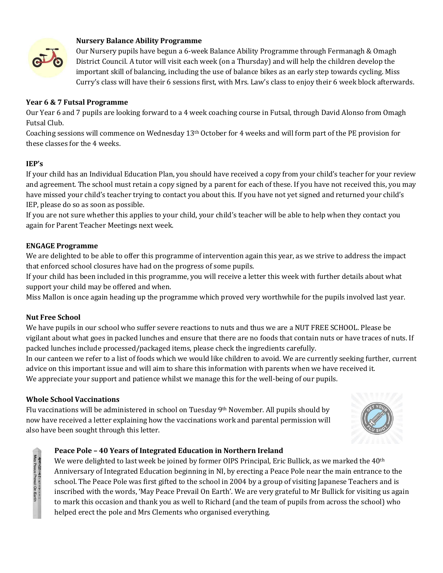

## **Nursery Balance Ability Programme**

Our Nursery pupils have begun a 6-week Balance Ability Programme through Fermanagh & Omagh District Council. A tutor will visit each week (on a Thursday) and will help the children develop the important skill of balancing, including the use of balance bikes as an early step towards cycling. Miss Curry's class will have their 6 sessions first, with Mrs. Law's class to enjoy their 6 week block afterwards.

## **Year 6 & 7 Futsal Programme**

Our Year 6 and 7 pupils are looking forward to a 4 week coaching course in Futsal, through David Alonso from Omagh Futsal Club.

Coaching sessions will commence on Wednesday  $13<sup>th</sup>$  October for 4 weeks and will form part of the PE provision for these classes for the 4 weeks.

## **IEP's**

If your child has an Individual Education Plan, you should have received a copy from your child's teacher for your review and agreement. The school must retain a copy signed by a parent for each of these. If you have not received this, you may have missed your child's teacher trying to contact you about this. If you have not yet signed and returned your child's IEP, please do so as soon as possible.

If you are not sure whether this applies to your child, your child's teacher will be able to help when they contact you again for Parent Teacher Meetings next week.

## **ENGAGE Programme**

We are delighted to be able to offer this programme of intervention again this year, as we strive to address the impact that enforced school closures have had on the progress of some pupils.

If your child has been included in this programme, you will receive a letter this week with further details about what support your child may be offered and when.

Miss Mallon is once again heading up the programme which proved very worthwhile for the pupils involved last year.

## **Nut Free School**

An Cate of Free Action Earth<br>May Peace Prevail On Earth

We have pupils in our school who suffer severe reactions to nuts and thus we are a NUT FREE SCHOOL. Please be vigilant about what goes in packed lunches and ensure that there are no foods that contain nuts or have traces of nuts. If packed lunches include processed/packaged items, please check the ingredients carefully.

In our canteen we refer to a list of foods which we would like children to avoid. We are currently seeking further, current advice on this important issue and will aim to share this information with parents when we have received it. We appreciate your support and patience whilst we manage this for the well-being of our pupils.

## **Whole School Vaccinations**

Flu vaccinations will be administered in school on Tuesday 9th November. All pupils should by now have received a letter explaining how the vaccinations work and parental permission will also have been sought through this letter.



## **Peace Pole – 40 Years of Integrated Education in Northern Ireland**

We were delighted to last week be joined by former OIPS Principal, Eric Bullick, as we marked the 40<sup>th</sup> Anniversary of Integrated Education beginning in NI, by erecting a Peace Pole near the main entrance to the school. The Peace Pole was first gifted to the school in 2004 by a group of visiting Japanese Teachers and is inscribed with the words, 'May Peace Prevail On Earth'. We are very grateful to Mr Bullick for visiting us again to mark this occasion and thank you as well to Richard (and the team of pupils from across the school) who helped erect the pole and Mrs Clements who organised everything.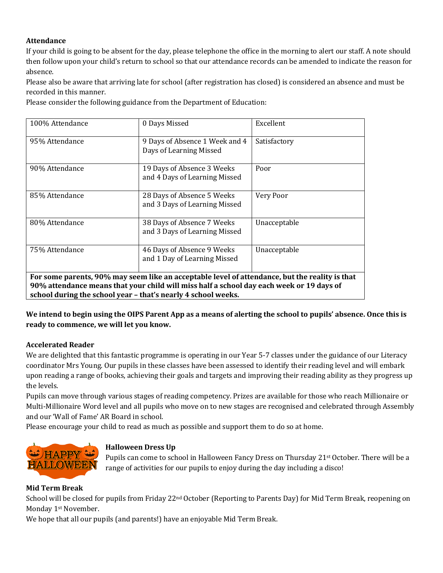# **Attendance**

If your child is going to be absent for the day, please telephone the office in the morning to alert our staff. A note should then follow upon your child's return to school so that our attendance records can be amended to indicate the reason for absence.

Please also be aware that arriving late for school (after registration has closed) is considered an absence and must be recorded in this manner.

Please consider the following guidance from the Department of Education:

| 100% Attendance                                                                                                                                                                                                                                             | 0 Days Missed                                               | Excellent    |  |  |  |  |
|-------------------------------------------------------------------------------------------------------------------------------------------------------------------------------------------------------------------------------------------------------------|-------------------------------------------------------------|--------------|--|--|--|--|
| 95% Attendance                                                                                                                                                                                                                                              | 9 Days of Absence 1 Week and 4<br>Days of Learning Missed   | Satisfactory |  |  |  |  |
| 90% Attendance                                                                                                                                                                                                                                              | 19 Days of Absence 3 Weeks<br>and 4 Days of Learning Missed | Poor         |  |  |  |  |
| 85% Attendance                                                                                                                                                                                                                                              | 28 Days of Absence 5 Weeks<br>and 3 Days of Learning Missed | Very Poor    |  |  |  |  |
| 80% Attendance                                                                                                                                                                                                                                              | 38 Days of Absence 7 Weeks<br>and 3 Days of Learning Missed | Unacceptable |  |  |  |  |
| 75% Attendance                                                                                                                                                                                                                                              | 46 Days of Absence 9 Weeks<br>and 1 Day of Learning Missed  | Unacceptable |  |  |  |  |
| For some parents, 90% may seem like an acceptable level of attendance, but the reality is that<br>90% attendance means that your child will miss half a school day each week or 19 days of<br>school during the school year - that's nearly 4 school weeks. |                                                             |              |  |  |  |  |

**We intend to begin using the OIPS Parent App as a means of alerting the school to pupils' absence. Once this is ready to commence, we will let you know.**

# **Accelerated Reader**

We are delighted that this fantastic programme is operating in our Year 5-7 classes under the guidance of our Literacy coordinator Mrs Young. Our pupils in these classes have been assessed to identify their reading level and will embark upon reading a range of books, achieving their goals and targets and improving their reading ability as they progress up the levels.

Pupils can move through various stages of reading competency. Prizes are available for those who reach Millionaire or Multi-Millionaire Word level and all pupils who move on to new stages are recognised and celebrated through Assembly and our 'Wall of Fame' AR Board in school.

Please encourage your child to read as much as possible and support them to do so at home.



# **Halloween Dress Up**

Pupils can come to school in Halloween Fancy Dress on Thursday 21<sup>st</sup> October. There will be a range of activities for our pupils to enjoy during the day including a disco!

# **Mid Term Break**

School will be closed for pupils from Friday 22<sup>nd</sup> October (Reporting to Parents Day) for Mid Term Break, reopening on Monday 1st November.

We hope that all our pupils (and parents!) have an enjoyable Mid Term Break.